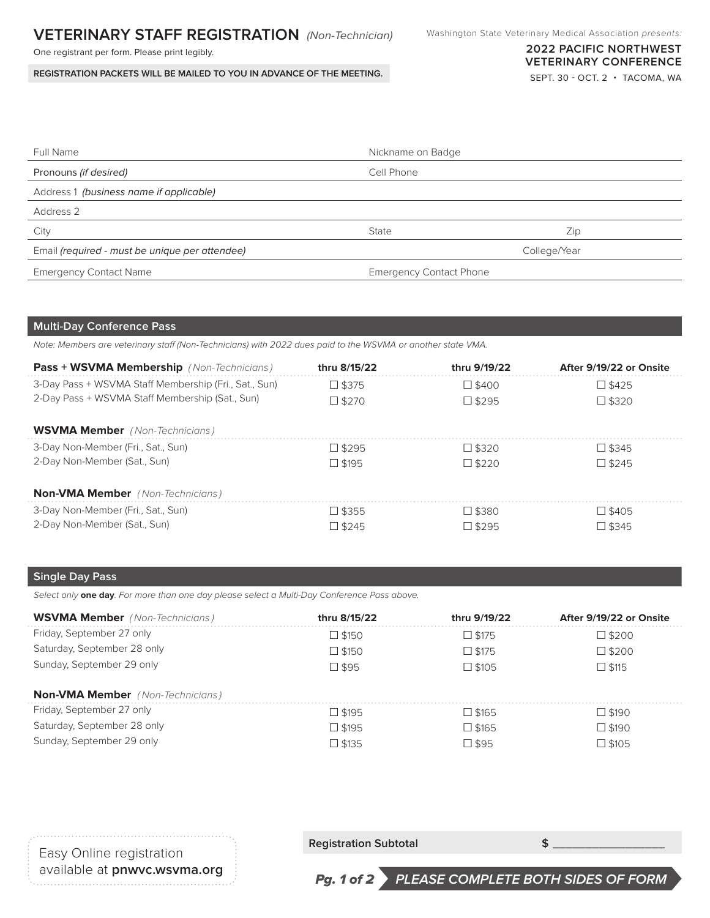## **VETERINARY STAFF REGISTRATION** (Non-Technician)

One registrant per form. Please print legibly.

**REGISTRATION PACKETS WILL BE MAILED TO YOU IN ADVANCE OF THE MEETING.**

## **2022 PACIFIC NORTHWEST VETERINARY CONFERENCE**

SEPT. 30 - OCT. 2 • TACOMA, WA

| <b>Full Name</b>                               | Nickname on Badge              |              |
|------------------------------------------------|--------------------------------|--------------|
| Pronouns (if desired)                          | Cell Phone                     |              |
| Address 1 (business name if applicable)        |                                |              |
| Address 2                                      |                                |              |
| City                                           | State                          | Zip          |
| Email (required - must be unique per attendee) |                                | College/Year |
| <b>Emergency Contact Name</b>                  | <b>Emergency Contact Phone</b> |              |

## **Multi-Day Conference Pass**

*Note: Members are veterinary staff (Non-Technicians) with 2022 dues paid to the WSVMA or another state VMA.*

| <b>Pass + WSVMA Membership</b> (Non-Technicians)      | thru 8/15/22    | thru 9/19/22    | After 9/19/22 or Onsite |
|-------------------------------------------------------|-----------------|-----------------|-------------------------|
| 3-Day Pass + WSVMA Staff Membership (Fri., Sat., Sun) | $\Box$ \$375    | $\square$ \$400 | $\Box$ \$425            |
| 2-Day Pass + WSVMA Staff Membership (Sat., Sun)       | $\Box$ \$270    | $\Box$ \$295    | $\Box$ \$320            |
| <b>WSVMA Member</b> (Non-Technicians)                 |                 |                 |                         |
| 3-Day Non-Member (Fri., Sat., Sun)                    | $\Box$ \$295    | $\Box$ \$320    | $\Box$ \$345            |
| 2-Day Non-Member (Sat., Sun)                          | $\Box$ \$195    | $\Box$ \$220    | $\Box$ \$245            |
| <b>Non-VMA Member</b> (Non-Technicians)               |                 |                 |                         |
| 3-Day Non-Member (Fri., Sat., Sun)                    | $\Box$ \$355    | $\Box$ \$380    | $\square$ \$405         |
| 2-Day Non-Member (Sat., Sun)                          | $\square$ \$245 | $\Box$ \$295    | $\Box$ \$345            |

## **Single Day Pass**

*Select only* **one day***. For more than one day please select a Multi-Day Conference Pass above.*

| <b>WSVMA Member</b> (Non-Technicians)   | thru 8/15/22    | thru 9/19/22    | After 9/19/22 or Onsite |
|-----------------------------------------|-----------------|-----------------|-------------------------|
| Friday, September 27 only               | $\Box$ \$150    | $\square$ \$175 | $\square$ \$200         |
| Saturday, September 28 only             | $\square$ \$150 | $\square$ \$175 | $\square$ \$200         |
| Sunday, September 29 only               | $\square$ \$95  | $\Box$ \$105    | $\Box$ \$115            |
| <b>Non-VMA Member</b> (Non-Technicians) |                 |                 |                         |
| Friday, September 27 only               | $\Box$ \$195    | $\square$ \$165 | $\Box$ \$190            |
| Saturday, September 28 only             | $\Box$ \$195    | $\square$ \$165 | $\Box$ \$190            |
| Sunday, September 29 only               | $\square$ \$135 | $\square$ \$95  | $\square$ \$105         |

| Easy Online registration     |  |
|------------------------------|--|
| available at pnwvc.wsvma.org |  |

**Registration Subtotal**  $\leftarrow$  **<b>\$** 

Pg. 1 of 2 **PLEASE COMPLETE BOTH SIDES OF FORM**